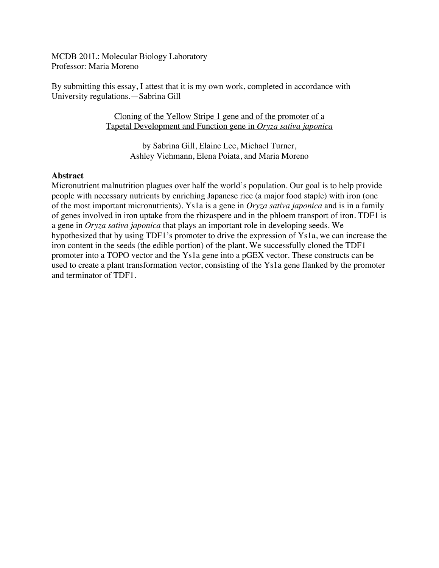MCDB 201L: Molecular Biology Laboratory Professor: Maria Moreno

By submitting this essay, I attest that it is my own work, completed in accordance with University regulations.—Sabrina Gill

> Cloning of the Yellow Stripe 1 gene and of the promoter of a Tapetal Development and Function gene in *Oryza sativa japonica*

> > by Sabrina Gill, Elaine Lee, Michael Turner, Ashley Viehmann, Elena Poiata, and Maria Moreno

## **Abstract**

Micronutrient malnutrition plagues over half the world's population. Our goal is to help provide people with necessary nutrients by enriching Japanese rice (a major food staple) with iron (one of the most important micronutrients). Ys1a is a gene in *Oryza sativa japonica* and is in a family of genes involved in iron uptake from the rhizaspere and in the phloem transport of iron. TDF1 is a gene in *Oryza sativa japonica* that plays an important role in developing seeds. We hypothesized that by using TDF1's promoter to drive the expression of Ys1a, we can increase the iron content in the seeds (the edible portion) of the plant. We successfully cloned the TDF1 promoter into a TOPO vector and the Ys1a gene into a pGEX vector. These constructs can be used to create a plant transformation vector, consisting of the Ys1a gene flanked by the promoter and terminator of TDF1.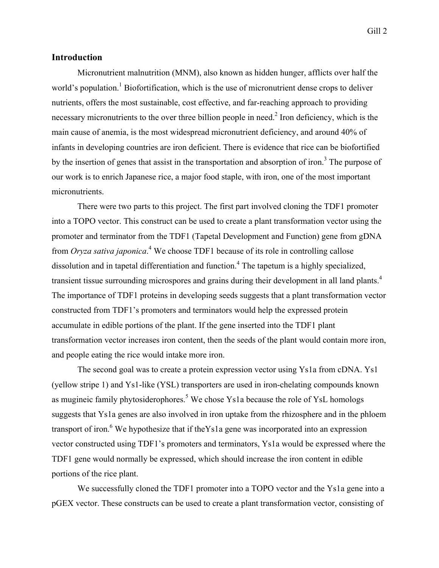## **Introduction**

Micronutrient malnutrition (MNM), also known as hidden hunger, afflicts over half the world's population.<sup>1</sup> Biofortification, which is the use of micronutrient dense crops to deliver nutrients, offers the most sustainable, cost effective, and far-reaching approach to providing necessary micronutrients to the over three billion people in need.<sup>2</sup> Iron deficiency, which is the main cause of anemia, is the most widespread micronutrient deficiency, and around 40% of infants in developing countries are iron deficient. There is evidence that rice can be biofortified by the insertion of genes that assist in the transportation and absorption of iron.<sup>3</sup> The purpose of our work is to enrich Japanese rice, a major food staple, with iron, one of the most important micronutrients.

There were two parts to this project. The first part involved cloning the TDF1 promoter into a TOPO vector. This construct can be used to create a plant transformation vector using the promoter and terminator from the TDF1 (Tapetal Development and Function) gene from gDNA from *Oryza sativa japonica*.<sup>4</sup> We choose TDF1 because of its role in controlling callose dissolution and in tapetal differentiation and function. 4 The tapetum is a highly specialized, transient tissue surrounding microspores and grains during their development in all land plants.<sup>4</sup> The importance of TDF1 proteins in developing seeds suggests that a plant transformation vector constructed from TDF1's promoters and terminators would help the expressed protein accumulate in edible portions of the plant. If the gene inserted into the TDF1 plant transformation vector increases iron content, then the seeds of the plant would contain more iron, and people eating the rice would intake more iron.

The second goal was to create a protein expression vector using Ys1a from cDNA. Ys1 (yellow stripe 1) and Ys1-like (YSL) transporters are used in iron-chelating compounds known as mugineic family phytosiderophores.<sup>5</sup> We chose Ys1a because the role of YsL homologs suggests that Ys1a genes are also involved in iron uptake from the rhizosphere and in the phloem transport of iron.<sup>6</sup> We hypothesize that if theYs1a gene was incorporated into an expression vector constructed using TDF1's promoters and terminators, Ys1a would be expressed where the TDF1 gene would normally be expressed, which should increase the iron content in edible portions of the rice plant.

We successfully cloned the TDF1 promoter into a TOPO vector and the Ys1a gene into a pGEX vector. These constructs can be used to create a plant transformation vector, consisting of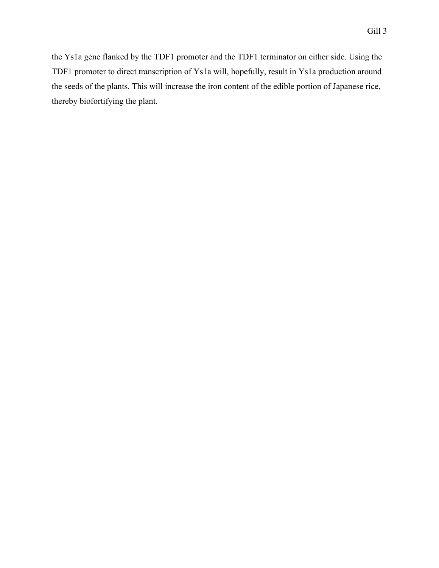the Ys1a gene flanked by the TDF1 promoter and the TDF1 terminator on either side. Using the TDF1 promoter to direct transcription of Ys1a will, hopefully, result in Ys1a production around the seeds of the plants. This will increase the iron content of the edible portion of Japanese rice, thereby biofortifying the plant.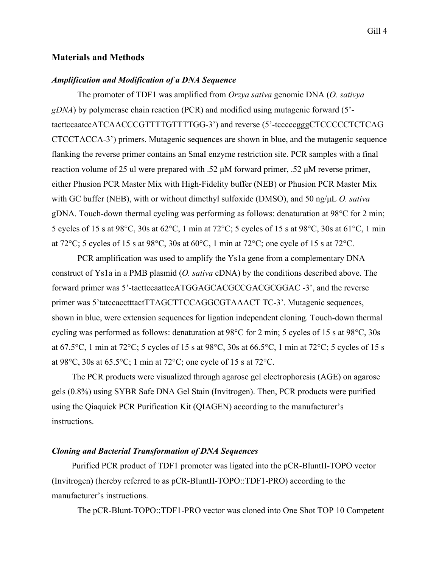#### **Materials and Methods**

#### *Amplification and Modification of a DNA Sequence*

The promoter of TDF1 was amplified from *Orzya sativa* genomic DNA (*O. sativya gDNA*) by polymerase chain reaction (PCR) and modified using mutagenic forward (5' tacttccaatccATCAACCCGTTTTGTTTTGG-3') and reverse (5'-tcccccgggCTCCCCCTCTCAG CTCCTACCA-3') primers. Mutagenic sequences are shown in blue, and the mutagenic sequence flanking the reverse primer contains an SmaI enzyme restriction site. PCR samples with a final reaction volume of 25 ul were prepared with .52 µM forward primer, .52 µM reverse primer, either Phusion PCR Master Mix with High-Fidelity buffer (NEB) or Phusion PCR Master Mix with GC buffer (NEB), with or without dimethyl sulfoxide (DMSO), and 50 ng/µL *O. sativa* gDNA. Touch-down thermal cycling was performing as follows: denaturation at 98°C for 2 min; 5 cycles of 15 s at 98°C, 30s at 62°C, 1 min at 72°C; 5 cycles of 15 s at 98°C, 30s at 61°C, 1 min at 72°C; 5 cycles of 15 s at 98°C, 30s at 60°C, 1 min at 72°C; one cycle of 15 s at 72°C.

PCR amplification was used to amplify the Ys1a gene from a complementary DNA construct of Ys1a in a PMB plasmid (*O. sativa* cDNA) by the conditions described above. The forward primer was 5'-tacttccaattccATGGAGCACGCCGACGCGGAC -3', and the reverse primer was 5'tatccacctttactTTAGCTTCCAGGCGTAAACT TC-3'. Mutagenic sequences, shown in blue, were extension sequences for ligation independent cloning. Touch-down thermal cycling was performed as follows: denaturation at 98°C for 2 min; 5 cycles of 15 s at 98°C, 30s at 67.5°C, 1 min at 72°C; 5 cycles of 15 s at 98°C, 30s at 66.5°C, 1 min at 72°C; 5 cycles of 15 s at 98 $\degree$ C, 30s at 65.5 $\degree$ C; 1 min at 72 $\degree$ C; one cycle of 15 s at 72 $\degree$ C.

The PCR products were visualized through agarose gel electrophoresis (AGE) on agarose gels (0.8%) using SYBR Safe DNA Gel Stain (Invitrogen). Then, PCR products were purified using the Qiaquick PCR Purification Kit (QIAGEN) according to the manufacturer's instructions.

#### *Cloning and Bacterial Transformation of DNA Sequences*

Purified PCR product of TDF1 promoter was ligated into the pCR-BluntII-TOPO vector (Invitrogen) (hereby referred to as pCR-BluntII-TOPO::TDF1-PRO) according to the manufacturer's instructions.

The pCR-Blunt-TOPO::TDF1-PRO vector was cloned into One Shot TOP 10 Competent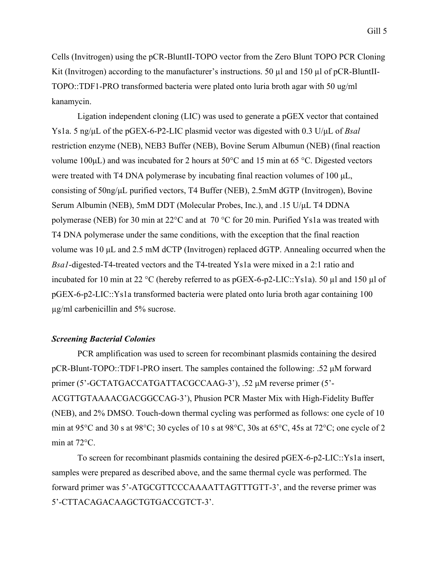Cells (Invitrogen) using the pCR-BluntII-TOPO vector from the Zero Blunt TOPO PCR Cloning Kit (Invitrogen) according to the manufacturer's instructions. 50  $\mu$ l and 150  $\mu$ l of pCR-BluntII-TOPO::TDF1-PRO transformed bacteria were plated onto luria broth agar with 50 ug/ml kanamycin.

Ligation independent cloning (LIC) was used to generate a pGEX vector that contained Ys1a. 5 ng/ $\mu$ L of the pGEX-6-P2-LIC plasmid vector was digested with 0.3 U/ $\mu$ L of *Bsal* restriction enzyme (NEB), NEB3 Buffer (NEB), Bovine Serum Albumun (NEB) (final reaction volume 100 $\mu$ L) and was incubated for 2 hours at 50 $\degree$ C and 15 min at 65  $\degree$ C. Digested vectors were treated with T4 DNA polymerase by incubating final reaction volumes of 100  $\mu$ L, consisting of 50ng/µL purified vectors, T4 Buffer (NEB), 2.5mM dGTP (Invitrogen), Bovine Serum Albumin (NEB), 5mM DDT (Molecular Probes, Inc.), and .15 U/µL T4 DDNA polymerase (NEB) for 30 min at 22°C and at 70 °C for 20 min. Purified Ys1a was treated with T4 DNA polymerase under the same conditions, with the exception that the final reaction volume was 10 µL and 2.5 mM dCTP (Invitrogen) replaced dGTP. Annealing occurred when the *Bsa1*-digested-T4-treated vectors and the T4-treated Ys1a were mixed in a 2:1 ratio and incubated for 10 min at 22 °C (hereby referred to as pGEX-6-p2-LIC::Ys1a). 50 µl and 150 µl of pGEX-6-p2-LIC::Ys1a transformed bacteria were plated onto luria broth agar containing 100 µg/ml carbenicillin and 5% sucrose.

#### *Screening Bacterial Colonies*

PCR amplification was used to screen for recombinant plasmids containing the desired pCR-Blunt-TOPO::TDF1-PRO insert. The samples contained the following: .52 µM forward primer (5'-GCTATGACCATGATTACGCCAAG-3'), .52 µM reverse primer (5'- ACGTTGTAAAACGACGGCCAG-3'), Phusion PCR Master Mix with High-Fidelity Buffer (NEB), and 2% DMSO. Touch-down thermal cycling was performed as follows: one cycle of 10 min at 95°C and 30 s at 98°C; 30 cycles of 10 s at 98°C, 30s at 65°C, 45s at 72°C; one cycle of 2 min at 72°C.

To screen for recombinant plasmids containing the desired pGEX-6-p2-LIC::Ys1a insert, samples were prepared as described above, and the same thermal cycle was performed. The forward primer was 5'-ATGCGTTCCCAAAATTAGTTTGTT-3', and the reverse primer was 5'-CTTACAGACAAGCTGTGACCGTCT-3'.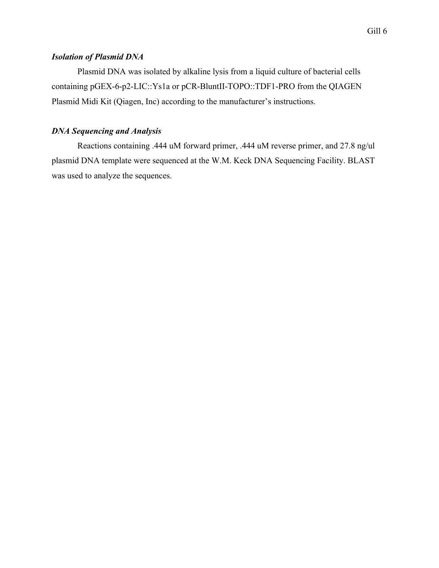# *Isolation of Plasmid DNA*

Plasmid DNA was isolated by alkaline lysis from a liquid culture of bacterial cells containing pGEX-6-p2-LIC::Ys1a or pCR-BluntII-TOPO::TDF1-PRO from the QIAGEN Plasmid Midi Kit (Qiagen, Inc) according to the manufacturer's instructions.

## *DNA Sequencing and Analysis*

Reactions containing .444 uM forward primer, .444 uM reverse primer, and 27.8 ng/ul plasmid DNA template were sequenced at the W.M. Keck DNA Sequencing Facility. BLAST was used to analyze the sequences.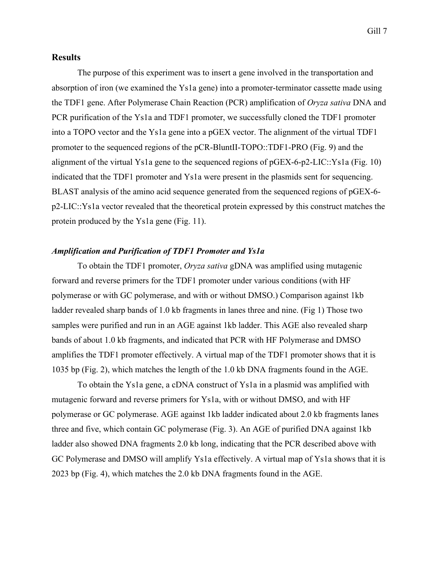## **Results**

The purpose of this experiment was to insert a gene involved in the transportation and absorption of iron (we examined the Ys1a gene) into a promoter-terminator cassette made using the TDF1 gene. After Polymerase Chain Reaction (PCR) amplification of *Oryza sativa* DNA and PCR purification of the Ys1a and TDF1 promoter, we successfully cloned the TDF1 promoter into a TOPO vector and the Ys1a gene into a pGEX vector. The alignment of the virtual TDF1 promoter to the sequenced regions of the pCR-BluntII-TOPO::TDF1-PRO (Fig. 9) and the alignment of the virtual Ys1a gene to the sequenced regions of pGEX-6-p2-LIC::Ys1a (Fig. 10) indicated that the TDF1 promoter and Ys1a were present in the plasmids sent for sequencing. BLAST analysis of the amino acid sequence generated from the sequenced regions of pGEX-6 p2-LIC::Ys1a vector revealed that the theoretical protein expressed by this construct matches the protein produced by the Ys1a gene (Fig. 11).

#### *Amplification and Purification of TDF1 Promoter and Ys1a*

To obtain the TDF1 promoter, *Oryza sativa* gDNA was amplified using mutagenic forward and reverse primers for the TDF1 promoter under various conditions (with HF polymerase or with GC polymerase, and with or without DMSO.) Comparison against 1kb ladder revealed sharp bands of 1.0 kb fragments in lanes three and nine. (Fig 1) Those two samples were purified and run in an AGE against 1kb ladder. This AGE also revealed sharp bands of about 1.0 kb fragments, and indicated that PCR with HF Polymerase and DMSO amplifies the TDF1 promoter effectively. A virtual map of the TDF1 promoter shows that it is 1035 bp (Fig. 2), which matches the length of the 1.0 kb DNA fragments found in the AGE.

To obtain the Ys1a gene, a cDNA construct of Ys1a in a plasmid was amplified with mutagenic forward and reverse primers for Ys1a, with or without DMSO, and with HF polymerase or GC polymerase. AGE against 1kb ladder indicated about 2.0 kb fragments lanes three and five, which contain GC polymerase (Fig. 3). An AGE of purified DNA against 1kb ladder also showed DNA fragments 2.0 kb long, indicating that the PCR described above with GC Polymerase and DMSO will amplify Ys1a effectively. A virtual map of Ys1a shows that it is 2023 bp (Fig. 4), which matches the 2.0 kb DNA fragments found in the AGE.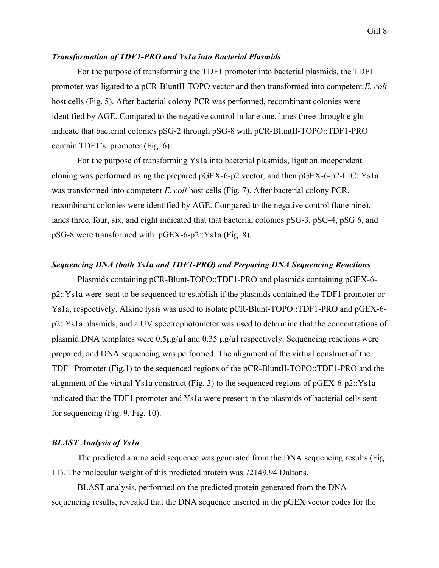#### *Transformation of TDF1-PRO and Ys1a into Bacterial Plasmids*

For the purpose of transforming the TDF1 promoter into bacterial plasmids, the TDF1 promoter was ligated to a pCR-BluntII-TOPO vector and then transformed into competent *E. coli* host cells (Fig. 5). After bacterial colony PCR was performed, recombinant colonies were identified by AGE. Compared to the negative control in lane one, lanes three through eight indicate that bacterial colonies pSG-2 through pSG-8 with pCR-BluntII-TOPO::TDF1-PRO contain TDF1's promoter (Fig. 6).

For the purpose of transforming Ys1a into bacterial plasmids, ligation independent cloning was performed using the prepared pGEX-6-p2 vector, and then pGEX-6-p2-LIC::Ys1a was transformed into competent *E. coli* host cells (Fig. 7). After bacterial colony PCR, recombinant colonies were identified by AGE. Compared to the negative control (lane nine), lanes three, four, six, and eight indicated that that bacterial colonies pSG-3, pSG-4, pSG 6, and pSG-8 were transformed with pGEX-6-p2::Ys1a (Fig. 8).

## *Sequencing DNA (both Ys1a and TDF1-PRO) and Preparing DNA Sequencing Reactions*

Plasmids containing pCR-Blunt-TOPO::TDF1-PRO and plasmids containing pGEX-6 p2::Ys1a were sent to be sequenced to establish if the plasmids contained the TDF1 promoter or Ys1a, respectively. Alkine lysis was used to isolate pCR-Blunt-TOPO::TDF1-PRO and pGEX-6 p2::Ys1a plasmids, and a UV spectrophotometer was used to determine that the concentrations of plasmid DNA templates were  $0.5\mu\text{g}/\mu$ l and  $0.35\mu\text{g}/\mu$ l respectively. Sequencing reactions were prepared, and DNA sequencing was performed. The alignment of the virtual construct of the TDF1 Promoter (Fig.1) to the sequenced regions of the pCR-BluntII-TOPO::TDF1-PRO and the alignment of the virtual Ys1a construct (Fig. 3) to the sequenced regions of pGEX-6-p2::Ys1a indicated that the TDF1 promoter and Ys1a were present in the plasmids of bacterial cells sent for sequencing (Fig. 9, Fig. 10).

### *BLAST Analysis of Ys1a*

The predicted amino acid sequence was generated from the DNA sequencing results (Fig. 11). The molecular weight of this predicted protein was 72149.94 Daltons.

BLAST analysis, performed on the predicted protein generated from the DNA sequencing results, revealed that the DNA sequence inserted in the pGEX vector codes for the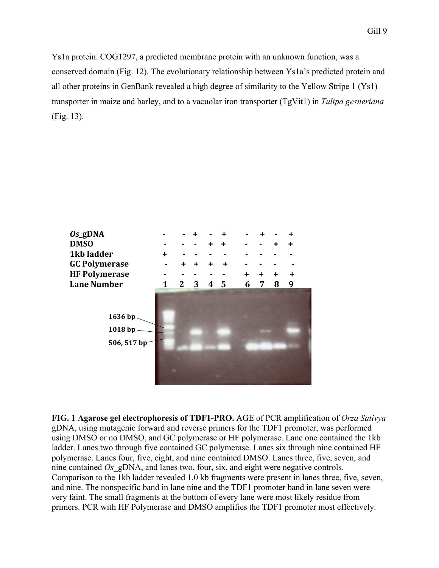Ys1a protein. COG1297, a predicted membrane protein with an unknown function, was a conserved domain (Fig. 12). The evolutionary relationship between Ys1a's predicted protein and all other proteins in GenBank revealed a high degree of similarity to the Yellow Stripe 1 (Ys1) transporter in maize and barley, and to a vacuolar iron transporter (TgVit1) in *Tulipa gesneriana* (Fig. 13).



**FIG. 1 Agarose gel electrophoresis of TDF1-PRO.** AGE of PCR amplification of *Orza Sativya* gDNA, using mutagenic forward and reverse primers for the TDF1 promoter, was performed using DMSO or no DMSO, and GC polymerase or HF polymerase. Lane one contained the 1kb ladder. Lanes two through five contained GC polymerase. Lanes six through nine contained HF polymerase. Lanes four, five, eight, and nine contained DMSO. Lanes three, five, seven, and nine contained *Os* gDNA, and lanes two, four, six, and eight were negative controls. Comparison to the 1kb ladder revealed 1.0 kb fragments were present in lanes three, five, seven, and nine. The nonspecific band in lane nine and the TDF1 promoter band in lane seven were very faint. The small fragments at the bottom of every lane were most likely residue from primers. PCR with HF Polymerase and DMSO amplifies the TDF1 promoter most effectively.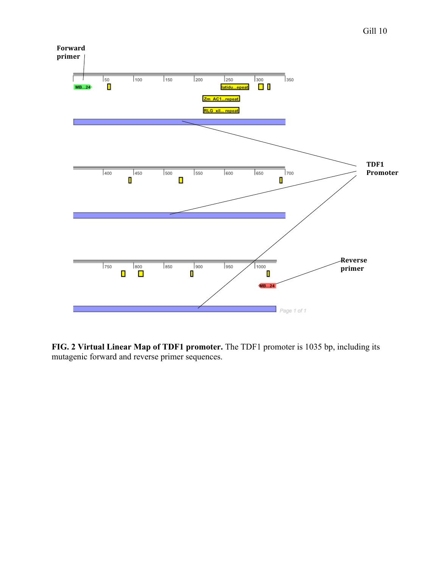

**FIG. 2 Virtual Linear Map of TDF1 promoter.** The TDF1 promoter is 1035 bp, including its mutagenic forward and reverse primer sequences.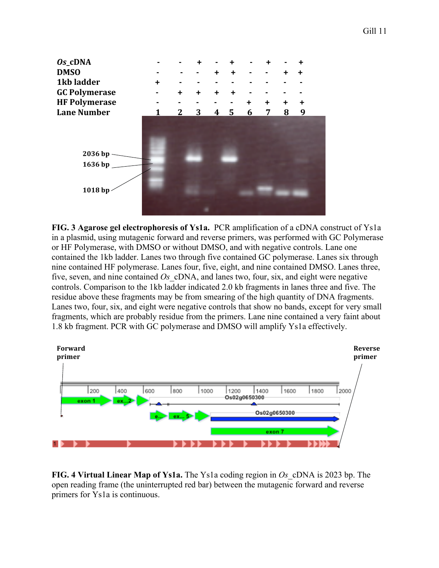

**FIG. 3 Agarose gel electrophoresis of Ys1a.** PCR amplification of a cDNA construct of Ys1a in a plasmid, using mutagenic forward and reverse primers, was performed with GC Polymerase or HF Polymerase, with DMSO or without DMSO, and with negative controls. Lane one contained the 1kb ladder. Lanes two through five contained GC polymerase. Lanes six through nine contained HF polymerase. Lanes four, five, eight, and nine contained DMSO. Lanes three, five, seven, and nine contained *Os*\_cDNA, and lanes two, four, six, and eight were negative controls. Comparison to the 1kb ladder indicated 2.0 kb fragments in lanes three and five. The residue above these fragments may be from smearing of the high quantity of DNA fragments. Lanes two, four, six, and eight were negative controls that show no bands, except for very small fragments, which are probably residue from the primers. Lane nine contained a very faint about 1.8 kb fragment. PCR with GC polymerase and DMSO will amplify Ys1a effectively.



**FIG. 4 Virtual Linear Map of Ys1a.** The Ys1a coding region in *Os*\_cDNA is 2023 bp. The open reading frame (the uninterrupted red bar) between the mutagenic forward and reverse primers for Ys1a is continuous.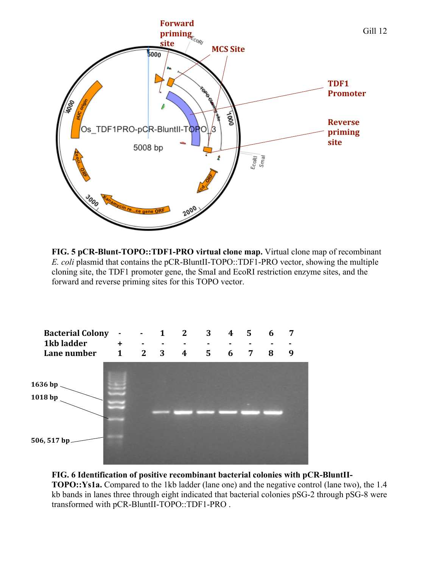

**FIG. 5 pCR-Blunt-TOPO::TDF1-PRO virtual clone map.** Virtual clone map of recombinant *E. coli* plasmid that contains the pCR-BluntII-TOPO::TDF1-PRO vector, showing the multiple cloning site, the TDF1 promoter gene, the SmaI and EcoRI restriction enzyme sites, and the forward and reverse priming sites for this TOPO vector.



**FIG. 6 Identification of positive recombinant bacterial colonies with pCR-BluntII-**

**TOPO::Ys1a.** Compared to the 1kb ladder (lane one) and the negative control (lane two), the 1.4 kb bands in lanes three through eight indicated that bacterial colonies pSG-2 through pSG-8 were transformed with pCR-BluntII-TOPO::TDF1-PRO .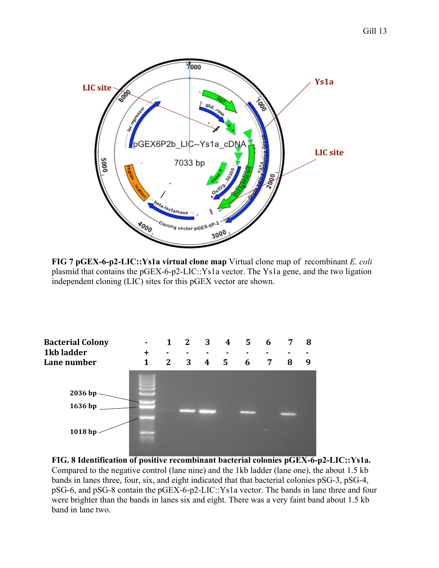

**FIG 7 pGEX-6-p2-LIC::Ys1a virtual clone map** Virtual clone map of recombinant *E. coli* plasmid that contains the pGEX-6-p2-LIC::Ys1a vector. The Ys1a gene, and the two ligation independent cloning (LIC) sites for this pGEX vector are shown.



**FIG. 8 Identification of positive recombinant bacterial colonies pGEX-6-p2-LIC::Ys1a.**  Compared to the negative control (lane nine) and the 1kb ladder (lane one), the about 1.5 kb bands in lanes three, four, six, and eight indicated that that bacterial colonies pSG-3, pSG-4, pSG-6, and pSG-8 contain the pGEX-6-p2-LIC::Ys1a vector. The bands in lane three and four were brighter than the bands in lanes six and eight. There was a very faint band about 1.5 kb band in lane two.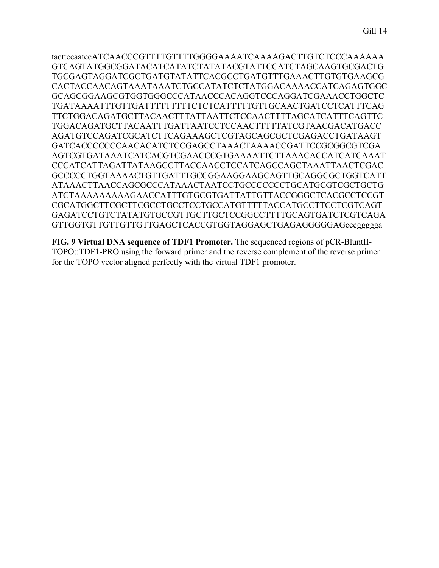tacttccaatccATCAACCCGTTTTGTTTTGGGGAAAATCAAAAGACTTGTCTCCCAAAAAA GTCAGTATGGCGGATACATCATATCTATATACGTATTCCATCTAGCAAGTGCGACTG TGCGAGTAGGATCGCTGATGTATATTCACGCCTGATGTTTGAAACTTGTGTGAAGCG CACTACCAACAGTAAATAAATCTGCCATATCTCTATGGACAAAACCATCAGAGTGGC GCAGCGGAAGCGTGGTGGGCCCATAACCCACAGGTCCCAGGATCGAAACCTGGCTC TGATAAAATTTGTTGATTTTTTTTTCTCTCATTTTTGTTGCAACTGATCCTCATTTCAG TTCTGGACAGATGCTTACAACTTTATTAATTCTCCAACTTTTAGCATCATTTCAGTTC TGGACAGATGCTTACAATTTGATTAATCCTCCAACTTTTTATCGTAACGACATGACC AGATGTCCAGATCGCATCTTCAGAAAGCTCGTAGCAGCGCTCGAGACCTGATAAGT GATCACCCCCCCAACACATCTCCGAGCCTAAACTAAAACCGATTCCGCGGCGTCGA AGTCGTGATAAATCATCACGTCGAACCCGTGAAAATTCTTAAACACCATCATCAAAT CCCATCATTAGATTATAAGCCTTACCAACCTCCATCAGCCAGCTAAATTAACTCGAC GCCCCCTGGTAAAACTGTTGATTTGCCGGAAGGAAGCAGTTGCAGGCGCTGGTCATT ATAAACTTAACCAGCGCCCATAAACTAATCCTGCCCCCCCTGCATGCGTCGCTGCTG ATCTAAAAAAAAAGAACCATTTGTGCGTGATTATTGTTACCGGGCTCACGCCTCCGT CGCATGGCTTCGCTTCGCCTGCCTCCTGCCATGTTTTTACCATGCCTTCCTCGTCAGT GAGATCCTGTCTATATGTGCCGTTGCTTGCTCCGGCCTTTTGCAGTGATCTCGTCAGA GTTGGTGTTGTTGTTGTTGAGCTCACCGTGGTAGGAGCTGAGAGGGGGAGcccggggga

**FIG. 9 Virtual DNA sequence of TDF1 Promoter.** The sequenced regions of pCR-BluntII-TOPO::TDF1-PRO using the forward primer and the reverse complement of the reverse primer for the TOPO vector aligned perfectly with the virtual TDF1 promoter.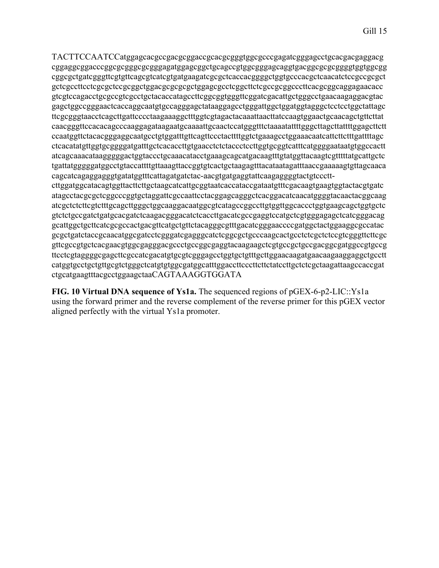TACTTCCAATCCatggagcacgccgacgcggaccgcacgcgggtggcgcccgagatcgggagcctgcacgacgaggacg cggaggcggacccggcgcgggcgcgggagatggagcggctgcagccgtggcgggagcaggtgacggcgcgcggggtggtggcgg cggcgctgatcgggttcgtgttcagcgtcatcgtgatgaagatcgcgctcaccacggggctggtgcccacgctcaacatctccgccgcgct gctcgccttcctcgcgctccgcggctggacgcgcgcgctggagcgcctcggcttctcgccgcggcccttcacgcggcaggagaacacc gtcgtccagacctgcgccgtcgcctgctacaccatagccttcggcggtgggttcggatcgacattgctgggcctgaacaagaggacgtac gagctggccgggaactcaccaggcaatgtgccagggagctataaggagcctgggattggctggatggtagggctcctcctggctattagc ttcgcgggtaacctcagcttgattcccctaagaaaggctttggtcgtagactacaaattaacttatccaagtggaactgcaacagctgttcttat caacgggttccacacagcccaaggagataagaatgcaaaattgcaactccatgggtttctaaaatattttgggcttagcttattttggagcttctt ccaatggttctacacgggaggcaatgcctgtggatttgttcagttccctacttttggtctgaaagcctggaaacaatcattcttctttgattttagc ctcacatatgttggtgcggggatgatttgctcacaccttgtgaacctctctaccctccttggtgcggtcatttcatggggaataatgtggccactt atcagcaaacataagggggactggtaccctgcaaacatacctgaaagcagcatgacaagtttgtatggttacaagtcgtttttatgcattgctc tgattatgggggatggcctgtaccattttgttaaagttaccggtgtcactgctaagagtttacataatagatttaaccgaaaaagtgttagcaaca cagcatcagaggagggtgatatggtttcattagatgatctac-aacgtgatgaggtattcaagaggggtactgtcccttcttggatggcatacagtggttacttcttgctaagcatcattgcggtaatcaccataccgataatgtttcgacaagtgaagtggtactacgtgatc atagcctacgcgctcggcccggtgctaggattcgccaattcctacggagcagggctcacggacatcaacatggggtacaactacggcaag atcgctctcttcgtctttgcagcttgggctggcaaggacaatggcgtcatagccggccttgtggttggcaccctggtgaagcagctggtgctc gtctctgccgatctgatgcacgatctcaagacgggacatctcaccttgacatcgccgaggtccatgctcgtgggagagctcatcgggacag gcattggctgcttcatcgcgccactgacgttcatgctgttctacagggcgtttgacatcgggaaccccgatggctactggaaggcgccatac gcgctgatctaccgcaacatggcgatcctcgggatcgagggcatctcggcgctgcccaagcactgcctctcgctctccgtcgggttcttcgc gttcgccgtgctcacgaacgtggcgagggacgccctgccggcgaggtacaagaagctcgtgccgctgccgacggcgatggccgtgccg ttcctcgtaggggcgagcttcgccatcgacatgtgcgtcgggagcctggtgctgtttgcttggaacaagatgaacaagaaggaggctgcctt catggtgcctgctgttgcgtctgggctcatgtgtggcgatggcatttggaccttcccttcttctatccttgctctcgctaagattaagccaccgat

ctgcatgaagtttacgcctggaagctaaCAGTAAAGGTGGATA **FIG. 10 Virtual DNA sequence of Ys1a.** The sequenced regions of pGEX-6-p2-LIC::Ys1a

using the forward primer and the reverse complement of the reverse primer for this pGEX vector aligned perfectly with the virtual Ys1a promoter.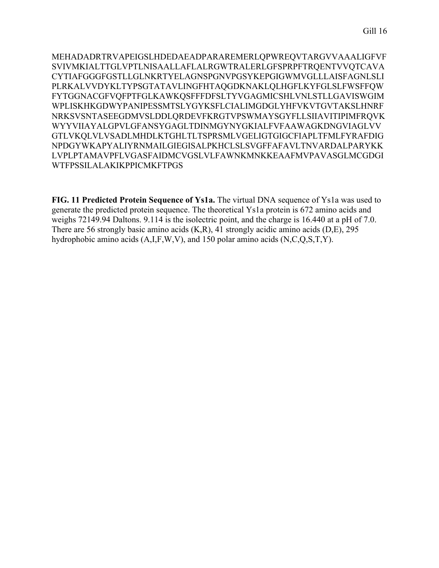MEHADADRTRVAPEIGSLHDEDAEADPARAREMERLQPWREQVTARGVVAAALIGFVF SVIVMKIALTTGLVPTLNISAALLAFLALRGWTRALERLGFSPRPFTRQENTVVQTCAVA CYTIAFGGGFGSTLLGLNKRTYELAGNSPGNVPGSYKEPGIGWMVGLLLAISFAGNLSLI PLRKALVVDYKLTYPSGTATAVLINGFHTAQGDKNAKLQLHGFLKYFGLSLFWSFFQW FYTGGNACGFVQFPTFGLKAWKQSFFFDFSLTYVGAGMICSHLVNLSTLLGAVISWGIM WPLISKHKGDWYPANIPESSMTSLYGYKSFLCIALIMGDGLYHFVKVTGVTAKSLHNRF NRKSVSNTASEEGDMVSLDDLQRDEVFKRGTVPSWMAYSGYFLLSIIAVITIPIMFRQVK WYYVIIAYALGPVLGFANSYGAGLTDINMGYNYGKIALFVFAAWAGKDNGVIAGLVV GTLVKQLVLVSADLMHDLKTGHLTLTSPRSMLVGELIGTGIGCFIAPLTFMLFYRAFDIG NPDGYWKAPYALIYRNMAILGIEGISALPKHCLSLSVGFFAFAVLTNVARDALPARYKK LVPLPTAMAVPFLVGASFAIDMCVGSLVLFAWNKMNKKEAAFMVPAVASGLMCGDGI WTFPSSILALAKIKPPICMKFTPGS

**FIG. 11 Predicted Protein Sequence of Ys1a.** The virtual DNA sequence of Ys1a was used to generate the predicted protein sequence. The theoretical Ys1a protein is 672 amino acids and weighs 72149.94 Daltons. 9.114 is the isolectric point, and the charge is 16.440 at a pH of 7.0. There are 56 strongly basic amino acids (K,R), 41 strongly acidic amino acids (D,E), 295 hydrophobic amino acids (A,I,F,W,V), and 150 polar amino acids (N,C,Q,S,T,Y).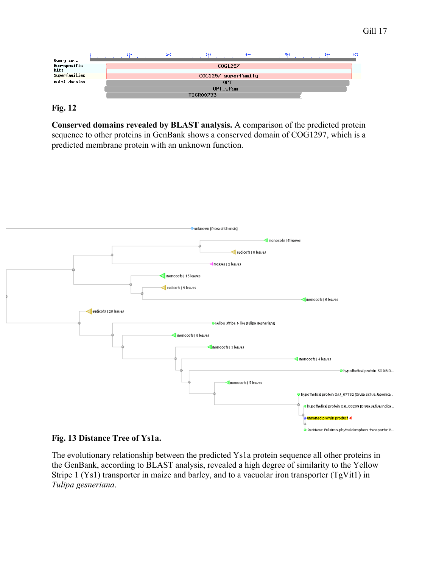

## **Fig. 12**

**Conserved domains revealed by BLAST analysis.** A comparison of the predicted protein sequence to other proteins in GenBank shows a conserved domain of COG1297, which is a predicted membrane protein with an unknown function.



## **Fig. 13 Distance Tree of Ys1a.**

The evolutionary relationship between the predicted Ys1a protein sequence all other proteins in the GenBank, according to BLAST analysis, revealed a high degree of similarity to the Yellow Stripe 1 (Ys1) transporter in maize and barley, and to a vacuolar iron transporter (TgVit1) in *Tulipa gesneriana*.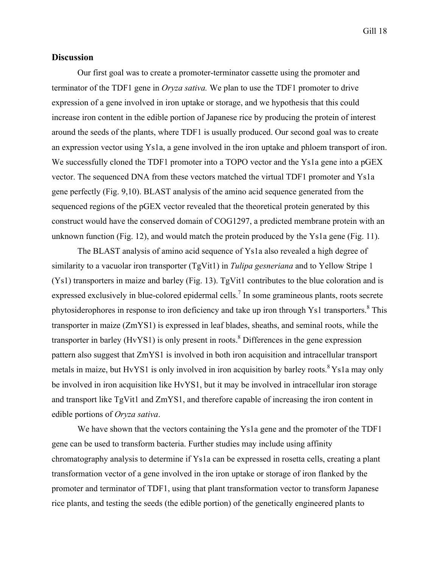Gill 18

## **Discussion**

Our first goal was to create a promoter-terminator cassette using the promoter and terminator of the TDF1 gene in *Oryza sativa.* We plan to use the TDF1 promoter to drive expression of a gene involved in iron uptake or storage, and we hypothesis that this could increase iron content in the edible portion of Japanese rice by producing the protein of interest around the seeds of the plants, where TDF1 is usually produced. Our second goal was to create an expression vector using Ys1a, a gene involved in the iron uptake and phloem transport of iron. We successfully cloned the TDF1 promoter into a TOPO vector and the Ys1a gene into a pGEX vector. The sequenced DNA from these vectors matched the virtual TDF1 promoter and Ys1a gene perfectly (Fig. 9,10). BLAST analysis of the amino acid sequence generated from the sequenced regions of the pGEX vector revealed that the theoretical protein generated by this construct would have the conserved domain of COG1297, a predicted membrane protein with an unknown function (Fig. 12), and would match the protein produced by the Ys1a gene (Fig. 11).

The BLAST analysis of amino acid sequence of Ys1a also revealed a high degree of similarity to a vacuolar iron transporter (TgVit1) in *Tulipa gesneriana* and to Yellow Stripe 1 (Ys1) transporters in maize and barley (Fig. 13). TgVit1 contributes to the blue coloration and is expressed exclusively in blue-colored epidermal cells.<sup>7</sup> In some gramineous plants, roots secrete phytosiderophores in response to iron deficiency and take up iron through Ys1 transporters.<sup>8</sup> This transporter in maize (ZmYS1) is expressed in leaf blades, sheaths, and seminal roots, while the transporter in barley (HvYS1) is only present in roots.<sup>8</sup> Differences in the gene expression pattern also suggest that ZmYS1 is involved in both iron acquisition and intracellular transport metals in maize, but HvYS1 is only involved in iron acquisition by barley roots.<sup>8</sup> Ys1a may only be involved in iron acquisition like HvYS1, but it may be involved in intracellular iron storage and transport like TgVit1 and ZmYS1, and therefore capable of increasing the iron content in edible portions of *Oryza sativa*.

We have shown that the vectors containing the Ys1a gene and the promoter of the TDF1 gene can be used to transform bacteria. Further studies may include using affinity chromatography analysis to determine if Ys1a can be expressed in rosetta cells, creating a plant transformation vector of a gene involved in the iron uptake or storage of iron flanked by the promoter and terminator of TDF1, using that plant transformation vector to transform Japanese rice plants, and testing the seeds (the edible portion) of the genetically engineered plants to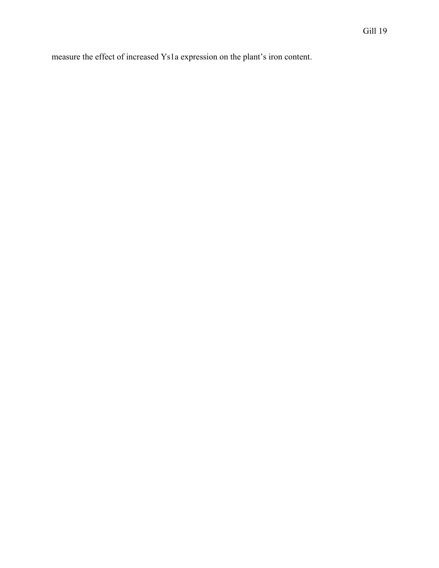measure the effect of increased Ys1a expression on the plant's iron content.